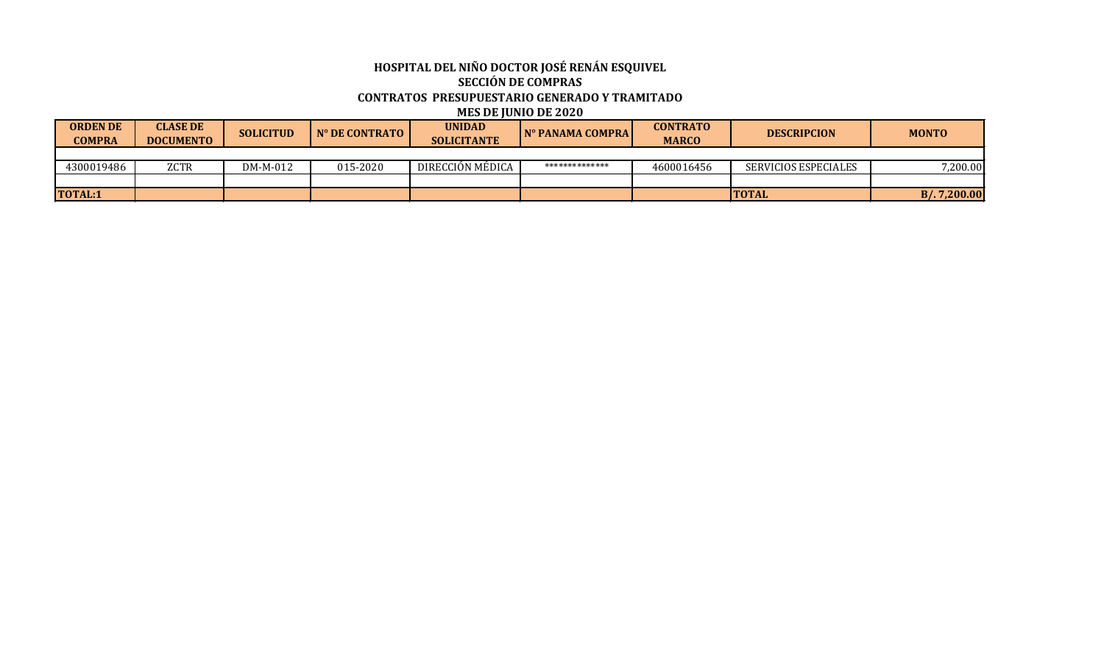# **HOSPITAL DEL NIÑO DOCTOR JOSÉ RENÁN ESQUIVEL SECCIÓN DE COMPRAS CONTRATOS PRESUPUESTARIO GENERADO Y TRAMITADO MES DE JUNIO DE 2020**

| <b>ORDEN DE</b><br><b>COMPRA</b> | <b>CLASE DE</b><br><b>DOCUMENTO</b> | <b>SOLICITUD</b> | N° DE CONTRATO I | <b>UNIDAD</b><br><b>SOLICITANTE</b> | <b>N° PANAMA COMPRA I</b> | <b>CONTRATO</b><br><b>MARCO</b> | <b>DESCRIPCION</b>   | <b>MONTO</b> |
|----------------------------------|-------------------------------------|------------------|------------------|-------------------------------------|---------------------------|---------------------------------|----------------------|--------------|
|                                  |                                     |                  |                  |                                     |                           |                                 |                      |              |
| 4300019486                       | ZCTR                                | $DM-M-012$       | 015-2020         | DIRECCIÓN MÉDICA                    | **************            | 4600016456                      | SERVICIOS ESPECIALES | 7,200.00     |
|                                  |                                     |                  |                  |                                     |                           |                                 |                      |              |
| <b>TOTAL:1</b>                   |                                     |                  |                  |                                     |                           |                                 | <b>ITOTAL</b>        | B/.7,200.00  |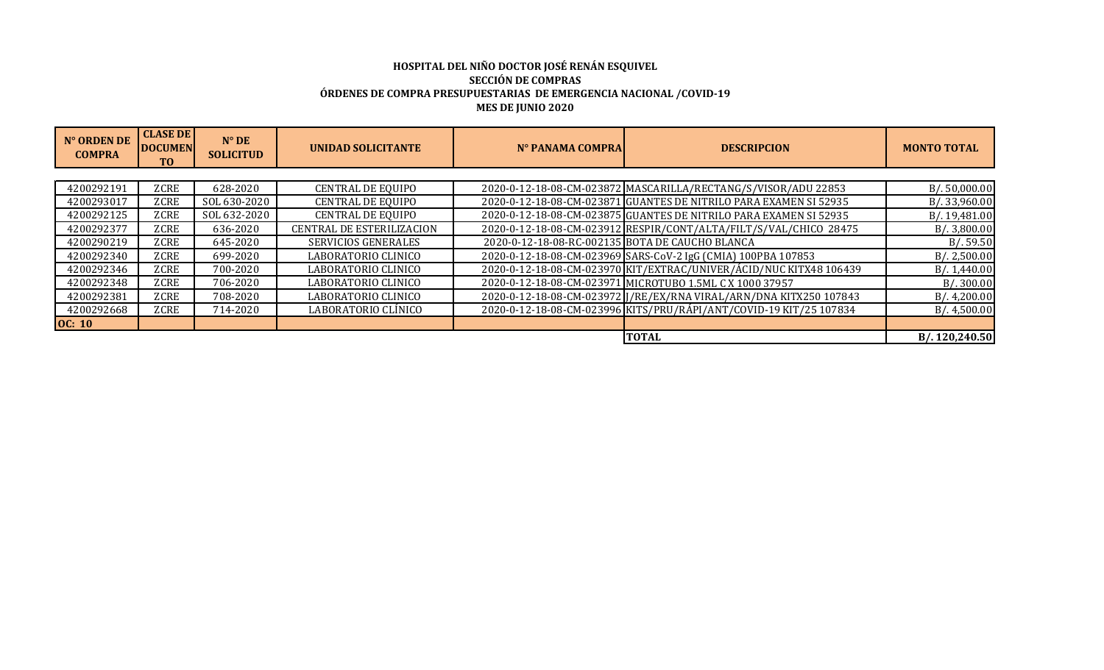### **HOSPITAL DEL NIÑO DOCTOR JOSÉ RENÁN ESQUIVEL SECCIÓN DE COMPRAS ÓRDENES DE COMPRA PRESUPUESTARIAS DE EMERGENCIA NACIONAL /COVID-19 MES DE JUNIO 2020**

| N° ORDEN DE<br><b>COMPRA</b> | <b>CLASE DE</b><br><b>DOCUMEN</b><br>T <sub>0</sub> | $N^{\circ}$ DE<br><b>SOLICITUD</b> | <b>UNIDAD SOLICITANTE</b>        | N° PANAMA COMPRA                                | <b>DESCRIPCION</b>                                                 | <b>MONTO TOTAL</b> |
|------------------------------|-----------------------------------------------------|------------------------------------|----------------------------------|-------------------------------------------------|--------------------------------------------------------------------|--------------------|
|                              |                                                     |                                    |                                  |                                                 |                                                                    |                    |
| 4200292191                   | <b>ZCRE</b>                                         | 628-2020                           | <b>CENTRAL DE EQUIPO</b>         |                                                 | 2020-0-12-18-08-CM-023872 MASCARILLA/RECTANG/S/VISOR/ADU 22853     | B/.50,000.00       |
| 4200293017                   | <b>ZCRE</b>                                         | SOL 630-2020                       | <b>CENTRAL DE EQUIPO</b>         |                                                 | 2020-0-12-18-08-CM-023871 GUANTES DE NITRILO PARA EXAMEN SI 52935  | B/.33,960.00       |
| 4200292125                   | <b>ZCRE</b>                                         | SOL 632-2020                       | <b>CENTRAL DE EQUIPO</b>         |                                                 | 2020-0-12-18-08-CM-023875 GUANTES DE NITRILO PARA EXAMEN SI 52935  | B/. 19,481.00      |
| 4200292377                   | <b>ZCRE</b>                                         | 636-2020                           | <b>CENTRAL DE ESTERILIZACION</b> |                                                 | 2020-0-12-18-08-CM-023912 RESPIR/CONT/ALTA/FILT/S/VAL/CHICO 28475  | B/.3,800.00        |
| 4200290219                   | <b>ZCRE</b>                                         | 645-2020                           | <b>SERVICIOS GENERALES</b>       | 2020-0-12-18-08-RC-002135 BOTA DE CAUCHO BLANCA |                                                                    | B/.59.50           |
| 4200292340                   | <b>ZCRE</b>                                         | 699-2020                           | LABORATORIO CLINICO              |                                                 | 2020-0-12-18-08-CM-023969 SARS-CoV-2 IgG (CMIA) 100PBA 107853      | B/.2,500.00        |
| 4200292346                   | <b>ZCRE</b>                                         | 700-2020                           | LABORATORIO CLINICO              |                                                 | 2020-0-12-18-08-CM-023970 KIT/EXTRAC/UNIVER/ÁCID/NUC KITX48 106439 | B/.1,440.00        |
| 4200292348                   | <b>ZCRE</b>                                         | 706-2020                           | LABORATORIO CLINICO              |                                                 | 2020-0-12-18-08-CM-023971 MICROTUBO 1.5ML C X 1000 37957           | B/.300.00          |
| 4200292381                   | <b>ZCRE</b>                                         | 708-2020                           | LABORATORIO CLINICO              |                                                 | 2020-0-12-18-08-CM-023972 J/RE/EX/RNA VIRAL/ARN/DNA KITX250 107843 | B/.4,200.00        |
| 4200292668                   | ZCRE                                                | 714-2020                           | LABORATORIO CLÍNICO              |                                                 | 2020-0-12-18-08-CM-023996 KITS/PRU/RÁPI/ANT/COVID-19 KIT/25 107834 | B/.4,500.00        |
| <b>OC: 10</b>                |                                                     |                                    |                                  |                                                 |                                                                    |                    |
|                              |                                                     |                                    |                                  |                                                 | <b>TOTAL</b>                                                       | B/. 120,240.50     |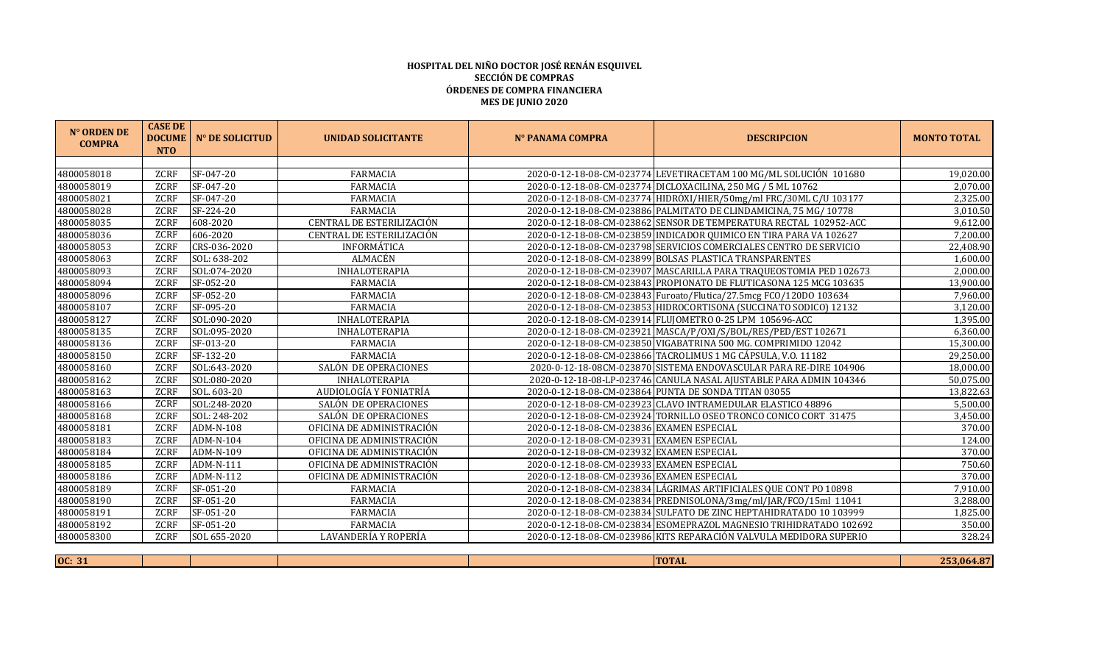#### **HOSPITAL DEL NIÑO DOCTOR JOSÉ RENÁN ESQUIVEL SECCIÓN DE COMPRAS ÓRDENES DE COMPRA FINANCIERA MES DE JUNIO 2020**

| N° ORDEN DE<br><b>COMPRA</b> | <b>CASE DE</b><br><b>NTO</b> | DOCUME   N° DE SOLICITUD | <b>UNIDAD SOLICITANTE</b> | N° PANAMA COMPRA                          | <b>DESCRIPCION</b>                                                                                                                     | <b>MONTO TOTAL</b>   |
|------------------------------|------------------------------|--------------------------|---------------------------|-------------------------------------------|----------------------------------------------------------------------------------------------------------------------------------------|----------------------|
| 4800058018                   | ZCRF                         | SF-047-20                | <b>FARMACIA</b>           |                                           | 2020-0-12-18-08-CM-023774 LEVETIRACETAM 100 MG/ML SOLUCIÓN 101680                                                                      | 19,020.00            |
| 4800058019                   | ZCRF                         | SF-047-20                | <b>FARMACIA</b>           |                                           | 2020-0-12-18-08-CM-023774 DICLOXACILINA, 250 MG / 5 ML 10762                                                                           | 2,070.00             |
| 4800058021                   | ZCRF                         | SF-047-20                | <b>FARMACIA</b>           |                                           | 2020-0-12-18-08-CM-023774 HIDRÓXI/HIER/50mg/ml FRC/30ML C/U 103177                                                                     | 2,325.00             |
|                              | ZCRF                         | SF-224-20                | <b>FARMACIA</b>           |                                           |                                                                                                                                        |                      |
| 4800058028<br>4800058035     | ZCRF                         | 608-2020                 | CENTRAL DE ESTERILIZACIÓN |                                           | 2020-0-12-18-08-CM-023886 PALMITATO DE CLINDAMICINA, 75 MG/ 10778<br>2020-0-12-18-08-CM-023862 SENSOR DE TEMPERATURA RECTAL 102952-ACC | 3,010.50<br>9,612.00 |
|                              | ZCRF                         | 606-2020                 | CENTRAL DE ESTERILIZACIÓN |                                           |                                                                                                                                        |                      |
| 4800058036                   |                              |                          | <b>INFORMÁTICA</b>        |                                           | 2020-0-12-18-08-CM-023859 INDICADOR QUIMICO EN TIRA PARA VA 102627                                                                     | 7,200.00             |
| 4800058053                   | ZCRF                         | CRS-036-2020             |                           |                                           | 2020-0-12-18-08-CM-023798 SERVICIOS COMERCIALES CENTRO DE SERVICIO                                                                     | 22,408.90            |
| 4800058063                   | ZCRF                         | SOL: 638-202             | ALMACÉN                   |                                           | 2020-0-12-18-08-CM-023899 BOLSAS PLASTICA TRANSPARENTES                                                                                | 1,600.00             |
| 4800058093                   | ZCRF                         | SOL:074-2020             | <b>INHALOTERAPIA</b>      |                                           | 2020-0-12-18-08-CM-023907 MASCARILLA PARA TRAQUEOSTOMIA PED 102673                                                                     | 2,000.00             |
| 4800058094                   | ZCRF                         | SF-052-20                | <b>FARMACIA</b>           |                                           | 2020-0-12-18-08-CM-023843 PROPIONATO DE FLUTICASONA 125 MCG 103635                                                                     | 13,900.00            |
| 4800058096                   | ZCRF                         | SF-052-20                | <b>FARMACIA</b>           |                                           | 2020-0-12-18-08-CM-023843 Furoato/Flutica/27.5mcg FCO/120DO 103634                                                                     | 7,960.00             |
| 4800058107                   | ZCRF                         | SF-095-20                | <b>FARMACIA</b>           |                                           | 2020-0-12-18-08-CM-023853 HIDROCORTISONA (SUCCINATO SODICO) 12132                                                                      | 3,120.00             |
| 4800058127                   | ZCRF                         | SOL:090-2020             | <b>INHALOTERAPIA</b>      |                                           | 2020-0-12-18-08-CM-023914 FLUJOMETRO 0-25 LPM 105696-ACC                                                                               | 1,395.00             |
| 4800058135                   | ZCRF                         | SOL:095-2020             | INHALOTERAPIA             |                                           | 2020-0-12-18-08-CM-023921 MASCA/P/OXI/S/BOL/RES/PED/EST 102671                                                                         | 6,360.00             |
| 4800058136                   | ZCRF                         | SF-013-20                | <b>FARMACIA</b>           |                                           | 2020-0-12-18-08-CM-023850 VIGABATRINA 500 MG. COMPRIMIDO 12042                                                                         | 15,300.00            |
| 4800058150                   | ZCRF                         | SF-132-20                | <b>FARMACIA</b>           |                                           | 2020-0-12-18-08-CM-023866 TACROLIMUS 1 MG CÁPSULA, V.O. 11182                                                                          | 29,250.00            |
| 4800058160                   | ZCRF                         | SOL:643-2020             | SALÓN DE OPERACIONES      |                                           | 2020-0-12-18-08CM-023870 SISTEMA ENDOVASCULAR PARA RE-DIRE 104906                                                                      | 18,000.00            |
| 4800058162                   | ZCRF                         | SOL:080-2020             | INHALOTERAPIA             |                                           | 2020-0-12-18-08-LP-023746 CANULA NASAL AJUSTABLE PARA ADMIN 104346                                                                     | 50,075.00            |
| 4800058163                   | <b>ZCRF</b>                  | SOL. 603-20              | AUDIOLOGÍA Y FONIATRÍA    |                                           | 2020-0-12-18-08-CM-023864 PUNTA DE SONDA TITAN 03055                                                                                   | 13,822.63            |
| 4800058166                   | ZCRF                         | SOL:248-2020             | SALÓN DE OPERACIONES      |                                           | 2020-0-12-18-08-CM-023923 CLAVO INTRAMEDULAR ELASTICO 48896                                                                            | 5,500.00             |
| 4800058168                   | ZCRF                         | SOL: 248-202             | SALÓN DE OPERACIONES      |                                           | 2020-0-12-18-08-CM-023924 TORNILLO OSEO TRONCO CONICO CORT 31475                                                                       | 3,450.00             |
| 4800058181                   | ZCRF                         | ADM-N-108                | OFICINA DE ADMINISTRACIÓN | 2020-0-12-18-08-CM-023836 EXAMEN ESPECIAL |                                                                                                                                        | 370.00               |
| 4800058183                   | ZCRF                         | ADM-N-104                | OFICINA DE ADMINISTRACIÓN | 2020-0-12-18-08-CM-023931 EXAMEN ESPECIAL |                                                                                                                                        | 124.00               |
| 4800058184                   | ZCRF                         | ADM-N-109                | OFICINA DE ADMINISTRACIÓN | 2020-0-12-18-08-CM-023932 EXAMEN ESPECIAL |                                                                                                                                        | 370.00               |
| 4800058185                   | ZCRF                         | ADM-N-111                | OFICINA DE ADMINISTRACIÓN | 2020-0-12-18-08-CM-023933 EXAMEN ESPECIAL |                                                                                                                                        | 750.60               |
| 4800058186                   | ZCRF                         | ADM-N-112                | OFICINA DE ADMINISTRACIÓN | 2020-0-12-18-08-CM-023936 EXAMEN ESPECIAL |                                                                                                                                        | 370.00               |
| 4800058189                   | ZCRF                         | SF-051-20                | <b>FARMACIA</b>           |                                           | 2020-0-12-18-08-CM-023834 LÁGRIMAS ARTIFICIALES QUE CONT PO 10898                                                                      | 7,910.00             |
| 4800058190                   | ZCRF                         | SF-051-20                | <b>FARMACIA</b>           |                                           | 2020-0-12-18-08-CM-023834 PREDNISOLONA/3mg/ml/JAR/FCO/15ml 11041                                                                       | 3,288.00             |
| 4800058191                   | ZCRF                         | SF-051-20                | <b>FARMACIA</b>           |                                           | 2020-0-12-18-08-CM-023834 SULFATO DE ZINC HEPTAHIDRATADO 10 103999                                                                     | 1,825.00             |
| 4800058192                   | ZCRF                         | SF-051-20                | <b>FARMACIA</b>           |                                           | 2020-0-12-18-08-CM-023834 ESOMEPRAZOL MAGNESIO TRIHIDRATADO 102692                                                                     | 350.00               |
| 4800058300                   | <b>ZCRF</b>                  | SOL 655-2020             | LAVANDERÍA Y ROPERÍA      |                                           | 2020-0-12-18-08-CM-023986 KITS REPARACIÓN VALVULA MEDIDORA SUPERIO                                                                     | 328.24               |
|                              |                              |                          |                           |                                           |                                                                                                                                        |                      |

|  | <b>OC: 31</b> |  |  |  |  | IUIAL | ---- |
|--|---------------|--|--|--|--|-------|------|
|--|---------------|--|--|--|--|-------|------|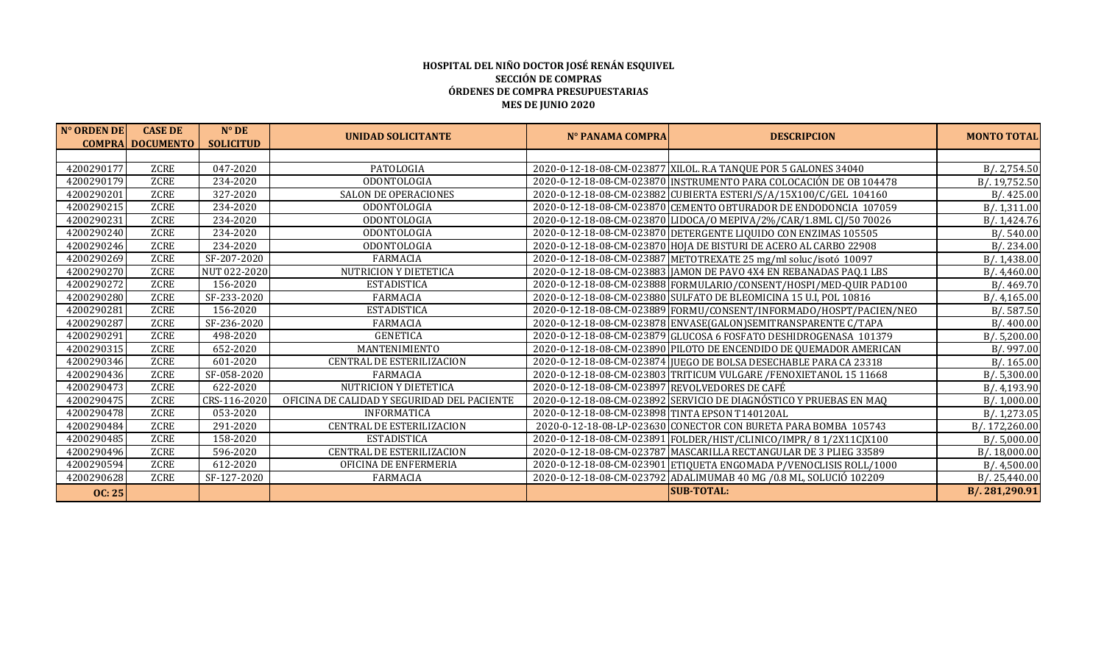### **HOSPITAL DEL NIÑO DOCTOR JOSÉ RENÁN ESQUIVEL SECCIÓN DE COMPRAS ÓRDENES DE COMPRA PRESUPUESTARIAS MES DE JUNIO 2020**

| $N^{\circ}$ ORDEN DE | <b>CASE DE</b><br><b>COMPRA DOCUMENTO</b> | $N^{\circ}$ DE<br><b>SOLICITUD</b> | <b>UNIDAD SOLICITANTE</b>                   | N° PANAMA COMPRA                                | <b>DESCRIPCION</b>                                                  | <b>MONTO TOTAL</b> |
|----------------------|-------------------------------------------|------------------------------------|---------------------------------------------|-------------------------------------------------|---------------------------------------------------------------------|--------------------|
|                      |                                           |                                    |                                             |                                                 |                                                                     |                    |
| 4200290177           | ZCRE                                      | 047-2020                           | PATOLOGIA                                   |                                                 | 2020-0-12-18-08-CM-023877 XILOL. R.A TANQUE POR 5 GALONES 34040     | B/. 2,754.50       |
| 4200290179           | <b>ZCRE</b>                               | 234-2020                           | ODONTOLOGIA                                 |                                                 | 2020-0-12-18-08-CM-023870 INSTRUMENTO PARA COLOCACIÓN DE OB 104478  | B/. 19,752.50      |
| 4200290201           | <b>ZCRE</b>                               | 327-2020                           | <b>SALON DE OPERACIONES</b>                 |                                                 | 2020-0-12-18-08-CM-023882 CUBIERTA ESTERI/S/A/15X100/C/GEL 104160   | B/.425.00          |
| 4200290215           | <b>ZCRE</b>                               | 234-2020                           | ODONTOLOGIA                                 |                                                 | 2020-0-12-18-08-CM-023870 CEMENTO OBTURADOR DE ENDODONCIA 107059    | B/.1,311.00        |
| 4200290231           | <b>ZCRE</b>                               | 234-2020                           | ODONTOLOGIA                                 |                                                 | 2020-0-12-18-08-CM-023870 LIDOCA/O MEPIVA/2%/CAR/1.8ML CJ/50 70026  | B/.1,424.76        |
| 4200290240           | <b>ZCRE</b>                               | 234-2020                           | <b>ODONTOLOGIA</b>                          |                                                 | 2020-0-12-18-08-CM-023870 DETERGENTE LIQUIDO CON ENZIMAS 105505     | B/.540.00          |
| 4200290246           | <b>ZCRE</b>                               | 234-2020                           | ODONTOLOGIA                                 |                                                 | 2020-0-12-18-08-CM-023870 HOJA DE BISTURI DE ACERO AL CARBO 22908   | B/.234.00          |
| 4200290269           | <b>ZCRE</b>                               | SF-207-2020                        | <b>FARMACIA</b>                             |                                                 | 2020-0-12-18-08-CM-023887 METOTREXATE 25 mg/ml soluc/isotó 10097    | B/.1,438.00        |
| 4200290270           | <b>ZCRE</b>                               | NUT 022-2020                       | NUTRICION Y DIETETICA                       |                                                 | 2020-0-12-18-08-CM-023883 JAMON DE PAVO 4X4 EN REBANADAS PAQ.1 LBS  | B/.4,460.00        |
| 4200290272           | <b>ZCRE</b>                               | 156-2020                           | <b>ESTADISTICA</b>                          |                                                 | 2020-0-12-18-08-CM-023888 FORMULARIO/CONSENT/HOSPI/MED-QUIR PAD100  | B/.469.70          |
| 4200290280           | ZCRE                                      | SF-233-2020                        | <b>FARMACIA</b>                             |                                                 | 2020-0-12-18-08-CM-023880 SULFATO DE BLEOMICINA 15 U.I, POL 10816   | B/.4,165.00        |
| 4200290281           | <b>ZCRE</b>                               | 156-2020                           | <b>ESTADISTICA</b>                          |                                                 | 2020-0-12-18-08-CM-023889 FORMU/CONSENT/INFORMADO/HOSPT/PACIEN/NEO  | B/.587.50          |
| 4200290287           | ZCRE                                      | SF-236-2020                        | <b>FARMACIA</b>                             |                                                 | 2020-0-12-18-08-CM-023878 ENVASE(GALON) SEMITRANSPARENTE C/TAPA     | B/.400.00          |
| 4200290291           | ZCRE                                      | 498-2020                           | <b>GENETICA</b>                             |                                                 | 2020-0-12-18-08-CM-023879 GLUCOSA 6 FOSFATO DESHIDROGENASA 101379   | B/.5,200.00        |
| 4200290315           | <b>ZCRE</b>                               | 652-2020                           | MANTENIMIENTO                               |                                                 | 2020-0-12-18-08-CM-023890 PILOTO DE ENCENDIDO DE QUEMADOR AMERICAN  | B/.997.00          |
| 4200290346           | <b>ZCRE</b>                               | 601-2020                           | <b>CENTRAL DE ESTERILIZACION</b>            |                                                 | 2020-0-12-18-08-CM-023874 JUEGO DE BOLSA DESECHABLE PARA CA 23318   | B/.165.00          |
| 4200290436           | <b>ZCRE</b>                               | SF-058-2020                        | <b>FARMACIA</b>                             |                                                 | 2020-0-12-18-08-CM-023803 TRITICUM VULGARE /FENOXIETANOL 15 11668   | B/.5,300.00        |
| 4200290473           | <b>ZCRE</b>                               | 622-2020                           | NUTRICION Y DIETETICA                       | 2020-0-12-18-08-CM-023897 REVOLVEDORES DE CAFÉ  |                                                                     | B/.4,193.90        |
| 4200290475           | ZCRE                                      | CRS-116-2020                       | OFICINA DE CALIDAD Y SEGURIDAD DEL PACIENTE |                                                 | 2020-0-12-18-08-CM-023892 SERVICIO DE DIAGNÓSTICO Y PRUEBAS EN MAQ  | B/.1,000.00        |
| 4200290478           | <b>ZCRE</b>                               | 053-2020                           | <b>INFORMATICA</b>                          | 2020-0-12-18-08-CM-023898 TINTA EPSON T140120AL |                                                                     | B/.1,273.05        |
| 4200290484           | ZCRE                                      | 291-2020                           | <b>CENTRAL DE ESTERILIZACION</b>            |                                                 | 2020-0-12-18-08-LP-023630 CONECTOR CON BURETA PARA BOMBA 105743     | B/.172,260.00      |
| 4200290485           | <b>ZCRE</b>                               | 158-2020                           | <b>ESTADISTICA</b>                          |                                                 | 2020-0-12-18-08-CM-023891 FOLDER/HIST/CLINICO/IMPR/ 81/2X11CJX100   | B/.5,000.00        |
| 4200290496           | <b>ZCRE</b>                               | 596-2020                           | <b>CENTRAL DE ESTERILIZACION</b>            |                                                 | 2020-0-12-18-08-CM-023787 MASCARILLA RECTANGULAR DE 3 PLIEG 33589   | B/.18,000.00       |
| 4200290594           | <b>ZCRE</b>                               | 612-2020                           | OFICINA DE ENFERMERIA                       |                                                 | 2020-0-12-18-08-CM-023901 ETIQUETA ENGOMADA P/VENOCLISIS ROLL/1000  | B/.4,500.00        |
| 4200290628           | <b>ZCRE</b>                               | SF-127-2020                        | <b>FARMACIA</b>                             |                                                 | 2020-0-12-18-08-CM-023792 ADALIMUMAB 40 MG / 0.8 ML, SOLUCIÓ 102209 | B/.25,440.00       |
| <b>OC:25</b>         |                                           |                                    |                                             |                                                 | <b>SUB-TOTAL:</b>                                                   | B/.281,290.91      |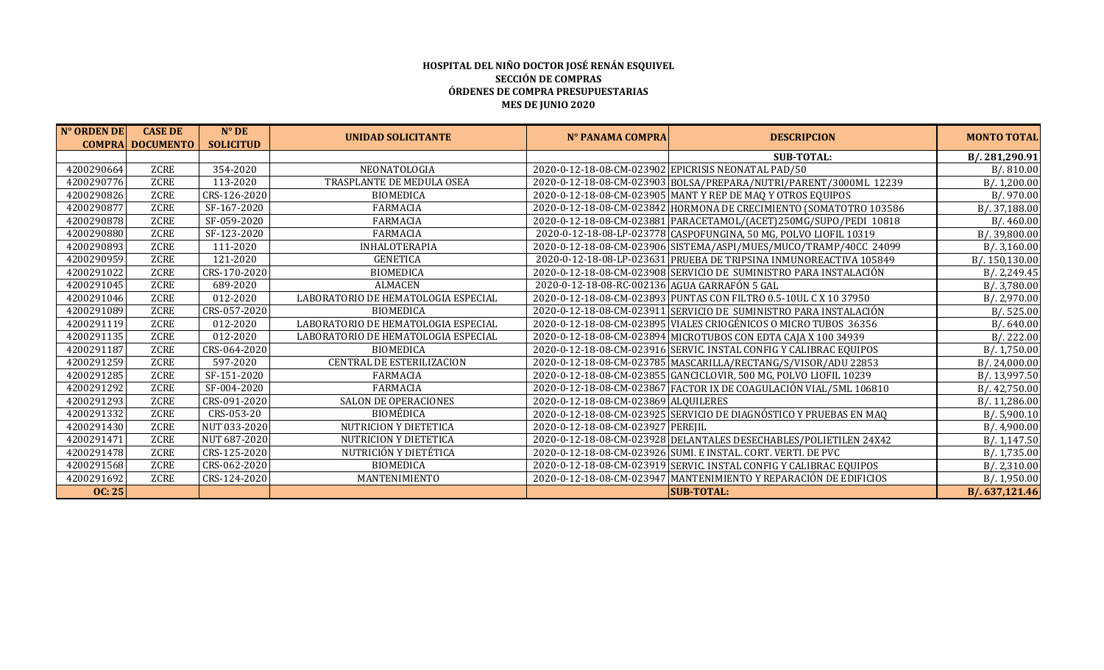### **HOSPITAL DEL NIÑO DOCTOR JOSÉ RENÁN ESQUIVEL SECCIÓN DE COMPRAS ÓRDENES DE COMPRA PRESUPUESTARIAS MES DE JUNIO 2020**

| N° ORDEN DE  | <b>CASE DE</b><br><b>COMPRA DOCUMENTO</b> | $N^{\circ}$ DE<br><b>SOLICITUD</b> | <b>UNIDAD SOLICITANTE</b>           | N° PANAMA COMPRA                              | <b>DESCRIPCION</b>                                                 | <b>MONTO TOTAL</b> |
|--------------|-------------------------------------------|------------------------------------|-------------------------------------|-----------------------------------------------|--------------------------------------------------------------------|--------------------|
|              |                                           |                                    |                                     |                                               | <b>SUB-TOTAL:</b>                                                  | B/.281,290.91      |
| 4200290664   | ZCRE                                      | 354-2020                           | NEONATOLOGIA                        |                                               | 2020-0-12-18-08-CM-023902 EPICRISIS NEONATAL PAD/50                | B/.810.00          |
| 4200290776   | ZCRE                                      | 113-2020                           | TRASPLANTE DE MEDULA OSEA           |                                               | 2020-0-12-18-08-CM-023903 BOLSA/PREPARA/NUTRI/PARENT/3000ML 12239  | B/. 1, 200.00      |
| 4200290826   | <b>ZCRE</b>                               | CRS-126-2020                       | <b>BIOMEDICA</b>                    |                                               | 2020-0-12-18-08-CM-023905 MANT Y REP DE MAQ Y OTROS EQUIPOS        | B/.970.00          |
| 4200290877   | <b>ZCRE</b>                               | SF-167-2020                        | <b>FARMACIA</b>                     |                                               | 2020-0-12-18-08-CM-023842 HORMONA DE CRECIMIENTO (SOMATOTRO 103586 | B/.37,188.00       |
| 4200290878   | <b>ZCRE</b>                               | SF-059-2020                        | <b>FARMACIA</b>                     |                                               | 2020-0-12-18-08-CM-023881 PARACETAMOL/(ACET)250MG/SUPO/PEDI 10818  | B/.460.00          |
| 4200290880   | ZCRE                                      | SF-123-2020                        | <b>FARMACIA</b>                     |                                               | 2020-0-12-18-08-LP-023778 CASPOFUNGINA, 50 MG, POLVO LIOFIL 10319  | B/.39,800.00       |
| 4200290893   | <b>ZCRE</b>                               | 111-2020                           | <b>INHALOTERAPIA</b>                |                                               | 2020-0-12-18-08-CM-023906 SISTEMA/ASPI/MUES/MUCO/TRAMP/40CC 24099  | B/.3,160.00        |
| 4200290959   | ZCRE                                      | 121-2020                           | <b>GENETICA</b>                     |                                               | 2020-0-12-18-08-LP-023631 PRUEBA DE TRIPSINA INMUNOREACTIVA 105849 | B/.150,130.00      |
| 4200291022   | <b>ZCRE</b>                               | CRS-170-2020                       | <b>BIOMEDICA</b>                    |                                               | 2020-0-12-18-08-CM-023908 SERVICIO DE SUMINISTRO PARA INSTALACIÓN  | B/.2,249.45        |
| 4200291045   | <b>ZCRE</b>                               | 689-2020                           | <b>ALMACEN</b>                      | 2020-0-12-18-08-RC-002136 AGUA GARRAFÓN 5 GAL |                                                                    | B/.3,780.00        |
| 4200291046   | <b>ZCRE</b>                               | 012-2020                           | LABORATORIO DE HEMATOLOGIA ESPECIAL |                                               | 2020-0-12-18-08-CM-023893 PUNTAS CON FILTRO 0.5-10UL C X 10 37950  | B/.2,970.00        |
| 4200291089   | ZCRE                                      | CRS-057-2020                       | <b>BIOMEDICA</b>                    |                                               | 2020-0-12-18-08-CM-023911 SERVICIO DE SUMINISTRO PARA INSTALACIÓN  | B/.525.00          |
| 4200291119   | ZCRE                                      | 012-2020                           | LABORATORIO DE HEMATOLOGIA ESPECIAL |                                               | 2020-0-12-18-08-CM-023895 VIALES CRIOGÉNICOS O MICRO TUBOS 36356   | B/0.640.00         |
| 4200291135   | ZCRE                                      | 012-2020                           | LABORATORIO DE HEMATOLOGIA ESPECIAL |                                               | 2020-0-12-18-08-CM-023894 MICROTUBOS CON EDTA CAJA X 100 34939     | B/.222.00          |
| 4200291187   | ZCRE                                      | CRS-064-2020                       | <b>BIOMEDICA</b>                    |                                               | 2020-0-12-18-08-CM-023916 SERVIC. INSTAL CONFIG Y CALIBRAC EQUIPOS | B/.1,750.00        |
| 4200291259   | <b>ZCRE</b>                               | 597-2020                           | <b>CENTRAL DE ESTERILIZACION</b>    |                                               | 2020-0-12-18-08-CM-023785 MASCARILLA/RECTANG/S/VISOR/ADU 22853     | B/.24,000.00       |
| 4200291285   | ZCRE                                      | SF-151-2020                        | <b>FARMACIA</b>                     |                                               | 2020-0-12-18-08-CM-023855 GANCICLOVIR, 500 MG, POLVO LIOFIL 10239  | B/. 13,997.50      |
| 4200291292   | ZCRE                                      | SF-004-2020                        | <b>FARMACIA</b>                     |                                               | 2020-0-12-18-08-CM-023867 FACTOR IX DE COAGULACIÓN VIAL/5ML 106810 | B/.42,750.00       |
| 4200291293   | <b>ZCRE</b>                               | CRS-091-2020                       | <b>SALON DE OPERACIONES</b>         | 2020-0-12-18-08-CM-023869 ALQUILERES          |                                                                    | B/.11,286.00       |
| 4200291332   | <b>ZCRE</b>                               | CRS-053-20                         | <b>BIOMÉDICA</b>                    |                                               | 2020-0-12-18-08-CM-023925 SERVICIO DE DIAGNÓSTICO Y PRUEBAS EN MAQ | B/.5,900.10        |
| 4200291430   | <b>ZCRE</b>                               | NUT 033-2020                       | <b>NUTRICION Y DIETETICA</b>        | 2020-0-12-18-08-CM-023927 PEREJIL             |                                                                    | B/.4,900.00        |
| 4200291471   | <b>ZCRE</b>                               | NUT 687-2020                       | <b>NUTRICION Y DIETETICA</b>        |                                               | 2020-0-12-18-08-CM-023928 DELANTALES DESECHABLES/POLIETILEN 24X42  | B/.1,147.50        |
| 4200291478   | <b>ZCRE</b>                               | CRS-125-2020                       | NUTRICIÓN Y DIETÉTICA               |                                               | 2020-0-12-18-08-CM-023926 SUMI. E INSTAL. CORT. VERTI. DE PVC      | B/.1,735.00        |
| 4200291568   | ZCRE                                      | CRS-062-2020                       | <b>BIOMEDICA</b>                    |                                               | 2020-0-12-18-08-CM-023919 SERVIC. INSTAL CONFIG Y CALIBRAC EQUIPOS | B/.2,310.00        |
| 4200291692   | ZCRE                                      | CRS-124-2020                       | MANTENIMIENTO                       |                                               | 2020-0-12-18-08-CM-023947 MANTENIMIENTO Y REPARACIÓN DE EDIFICIOS  | B/.1,950.00        |
| <b>OC:25</b> |                                           |                                    |                                     |                                               | <b>SUB-TOTAL:</b>                                                  | B/.637,121.46      |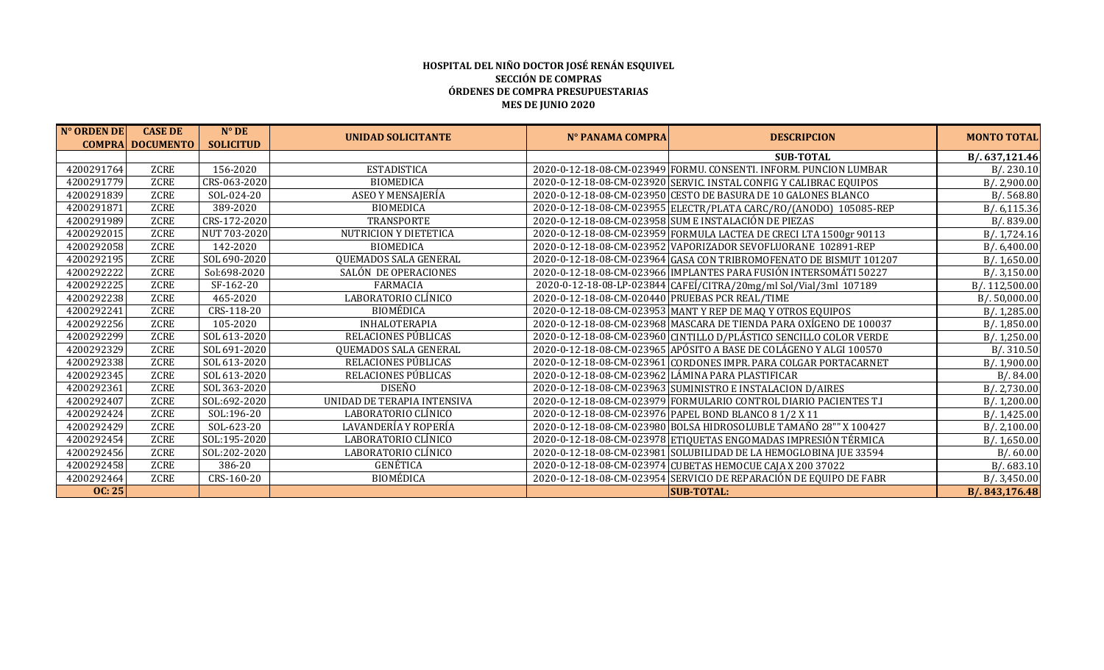### **HOSPITAL DEL NIÑO DOCTOR JOSÉ RENÁN ESQUIVEL SECCIÓN DE COMPRAS ÓRDENES DE COMPRA PRESUPUESTARIAS MES DE JUNIO 2020**

| N° ORDEN DE  | <b>CASE DE</b>          | $N^{\circ}$ DE   | <b>UNIDAD SOLICITANTE</b>    | N° PANAMA COMPRA                                  | <b>DESCRIPCION</b>                                                 | <b>MONTO TOTAL</b> |
|--------------|-------------------------|------------------|------------------------------|---------------------------------------------------|--------------------------------------------------------------------|--------------------|
|              | <b>COMPRA DOCUMENTO</b> | <b>SOLICITUD</b> |                              |                                                   |                                                                    |                    |
|              |                         |                  |                              |                                                   | <b>SUB-TOTAL</b>                                                   | B/. 637,121.46     |
| 4200291764   | ZCRE                    | 156-2020         | <b>ESTADISTICA</b>           |                                                   | 2020-0-12-18-08-CM-023949 FORMU. CONSENTI. INFORM. PUNCION LUMBAR  | B/.230.10          |
| 4200291779   | ZCRE                    | CRS-063-2020     | <b>BIOMEDICA</b>             |                                                   | 2020-0-12-18-08-CM-023920 SERVIC. INSTAL CONFIG Y CALIBRAC EQUIPOS | B/.2,900.00        |
| 4200291839   | ZCRE                    | SOL-024-20       | ASEO Y MENSAJERÍA            |                                                   | 2020-0-12-18-08-CM-023950 CESTO DE BASURA DE 10 GALONES BLANCO     | B/.568.80          |
| 4200291871   | <b>ZCRE</b>             | 389-2020         | <b>BIOMEDICA</b>             |                                                   | 2020-0-12-18-08-CM-023955 ELECTR/PLATA CARC/RO/(ANODO) 105085-REP  | B/0.6,115.36       |
| 4200291989   | ZCRE                    | CRS-172-2020     | TRANSPORTE                   |                                                   | 2020-0-12-18-08-CM-023958 SUM E INSTALACIÓN DE PIEZAS              | B/.839.00          |
| 4200292015   | ZCRE                    | NUT 703-2020     | NUTRICION Y DIETETICA        |                                                   | 2020-0-12-18-08-CM-023959 FORMULA LACTEA DE CRECI LTA 1500gr 90113 | B/. 1,724.16       |
| 4200292058   | ZCRE                    | 142-2020         | <b>BIOMEDICA</b>             |                                                   | 2020-0-12-18-08-CM-023952 VAPORIZADOR SEVOFLUORANE 102891-REP      | B/0.6,400.00       |
| 4200292195   | ZCRE                    | SOL 690-2020     | <b>QUEMADOS SALA GENERAL</b> |                                                   | 2020-0-12-18-08-CM-023964 GASA CON TRIBROMOFENATO DE BISMUT 101207 | B/.1,650.00        |
| 4200292222   | <b>ZCRE</b>             | Sol:698-2020     | SALÓN DE OPERACIONES         |                                                   | 2020-0-12-18-08-CM-023966 IMPLANTES PARA FUSIÓN INTERSOMÁTI 50227  | B/.3,150.00        |
| 4200292225   | ZCRE                    | SF-162-20        | <b>FARMACIA</b>              |                                                   | 2020-0-12-18-08-LP-023844 CAFEÍ/CITRA/20mg/ml Sol/Vial/3ml 107189  | B/. 112,500.00     |
| 4200292238   | ZCRE                    | 465-2020         | LABORATORIO CLÍNICO          | 2020-0-12-18-08-CM-020440 PRUEBAS PCR REAL/TIME   |                                                                    | B/.50,000.00       |
| 4200292241   | ZCRE                    | CRS-118-20       | <b>BIOMÉDICA</b>             |                                                   | 2020-0-12-18-08-CM-023953 MANT Y REP DE MAQ Y OTROS EQUIPOS        | B/.1,285.00        |
| 4200292256   | <b>ZCRE</b>             | 105-2020         | <b>INHALOTERAPIA</b>         |                                                   | 2020-0-12-18-08-CM-023968 MASCARA DE TIENDA PARA OXÍGENO DE 100037 | B/.1,850.00        |
| 4200292299   | <b>ZCRE</b>             | SOL 613-2020     | RELACIONES PÚBLICAS          |                                                   | 2020-0-12-18-08-CM-023960 CINTILLO D/PLÁSTICO SENCILLO COLOR VERDE | B/.1,250.00        |
| 4200292329   | ZCRE                    | SOL 691-2020     | QUEMADOS SALA GENERAL        |                                                   | 2020-0-12-18-08-CM-023965 APÓSITO A BASE DE COLÁGENO Y ALGI 100570 | B/.310.50          |
| 4200292338   | ZCRE                    | SOL 613-2020     | RELACIONES PÚBLICAS          |                                                   | 2020-0-12-18-08-CM-023961 CORDONES IMPR. PARA COLGAR PORTACARNET   | B/.1,900.00        |
| 4200292345   | <b>ZCRE</b>             | SOL 613-2020     | RELACIONES PÚBLICAS          | 2020-0-12-18-08-CM-023962 LÁMINA PARA PLASTIFICAR |                                                                    | B/0.84.00          |
| 4200292361   | <b>ZCRE</b>             | SOL 363-2020     | <b>DISEÑO</b>                |                                                   | 2020-0-12-18-08-CM-023963 SUMINISTRO E INSTALACION D/AIRES         | B/2,730.00         |
| 4200292407   | ZCRE                    | SOL:692-2020     | UNIDAD DE TERAPIA INTENSIVA  |                                                   | 2020-0-12-18-08-CM-023979 FORMULARIO CONTROL DIARIO PACIENTES T.   | B/.1,200.00        |
| 4200292424   | ZCRE                    | SOL:196-20       | LABORATORIO CLÍNICO          |                                                   | 2020-0-12-18-08-CM-023976 PAPEL BOND BLANCO 8 1/2 X 11             | B/.1,425.00        |
| 4200292429   | <b>ZCRE</b>             | SOL-623-20       | LAVANDERÍA Y ROPERÍA         |                                                   | 2020-0-12-18-08-CM-023980 BOLSA HIDROSOLUBLE TAMAÑO 28"" X 100427  | B/.2,100.00        |
| 4200292454   | ZCRE                    | SOL:195-2020     | LABORATORIO CLÍNICO          |                                                   | 2020-0-12-18-08-CM-023978 ETIQUETAS ENGOMADAS IMPRESIÓN TÉRMICA    | B/.1,650.00        |
| 4200292456   | ZCRE                    | SOL:202-2020     | LABORATORIO CLÍNICO          |                                                   | 2020-0-12-18-08-CM-023981 SOLUBILIDAD DE LA HEMOGLOBINA JUE 33594  | B/0.60.00          |
| 4200292458   | ZCRE                    | 386-20           | GENÉTICA                     |                                                   | 2020-0-12-18-08-CM-023974 CUBETAS HEMOCUE CAJA X 200 37022         | B/0.683.10         |
| 4200292464   | ZCRE                    | CRS-160-20       | <b>BIOMÉDICA</b>             |                                                   | 2020-0-12-18-08-CM-023954 SERVICIO DE REPARACIÓN DE EQUIPO DE FABR | B/.3,450.00        |
| <b>OC:25</b> |                         |                  |                              |                                                   | <b>SUB-TOTAL:</b>                                                  | B/.843,176.48      |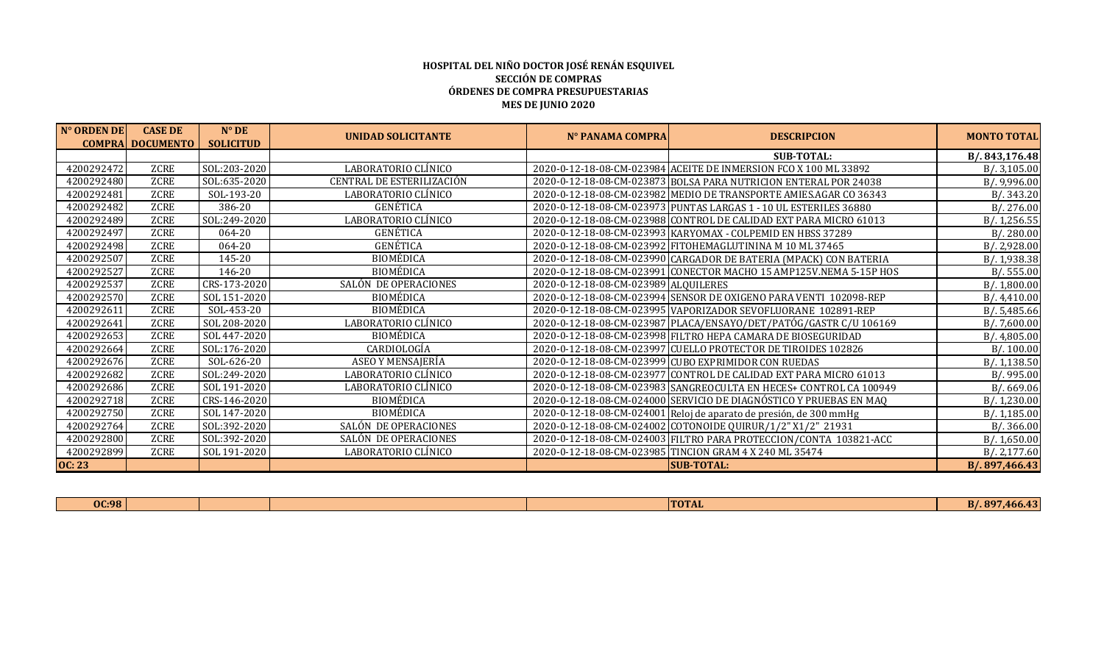### **MES DE JUNIO 2020 HOSPITAL DEL NIÑO DOCTOR JOSÉ RENÁN ESQUIVEL SECCIÓN DE COMPRAS ÓRDENES DE COMPRA PRESUPUESTARIAS**

| N° ORDEN DE    | <b>CASE DE</b>          | $N^{\circ}$ DE   | <b>UNIDAD SOLICITANTE</b> | N° PANAMA COMPRA                     | <b>DESCRIPCION</b>                                                 | <b>MONTO TOTAL</b> |
|----------------|-------------------------|------------------|---------------------------|--------------------------------------|--------------------------------------------------------------------|--------------------|
|                | <b>COMPRA DOCUMENTO</b> | <b>SOLICITUD</b> |                           |                                      |                                                                    |                    |
|                |                         |                  |                           |                                      | <b>SUB-TOTAL:</b>                                                  | B/. 843,176.48     |
| 4200292472     | ZCRE                    | SOL:203-2020     | LABORATORIO CLÍNICO       |                                      | 2020-0-12-18-08-CM-023984 ACEITE DE INMERSION FCO X 100 ML 33892   | B/.3,105.00        |
| 4200292480     | ZCRE                    | SOL:635-2020     | CENTRAL DE ESTERILIZACIÓN |                                      | 2020-0-12-18-08-CM-023873 BOLSA PARA NUTRICION ENTERAL POR 24038   | B/.9,996.00        |
| 4200292481     | ZCRE                    | SOL-193-20       | LABORATORIO CLÍNICO       |                                      | 2020-0-12-18-08-CM-023982 MEDIO DE TRANSPORTE AMIES.AGAR CO 36343  | B/.343.20          |
| 4200292482     | ZCRE                    | 386-20           | GENÉTICA                  |                                      | 2020-0-12-18-08-CM-023973 PUNTAS LARGAS 1 - 10 UL ESTERILES 36880  | B/.276.00          |
| 4200292489     | ZCRE                    | SOL:249-2020     | LABORATORIO CLÍNICO       |                                      | 2020-0-12-18-08-CM-023988 CONTROL DE CALIDAD EXT PARA MICRO 61013  | B/.1,256.55        |
| 4200292497     | ZCRE                    | 064-20           | GENÉTICA                  |                                      | 2020-0-12-18-08-CM-023993 KARYOMAX - COLPEMID EN HBSS 37289        | B/.280.00          |
| 4200292498     | ZCRE                    | 064-20           | <b>GENÉTICA</b>           |                                      | 2020-0-12-18-08-CM-023992 FITOHEMAGLUTININA M 10 ML 37465          | B/0.2,928.00       |
| 4200292507     | ZCRE                    | 145-20           | <b>BIOMÉDICA</b>          |                                      | 2020-0-12-18-08-CM-023990 CARGADOR DE BATERIA (MPACK) CON BATERIA  | B/.1,938.38        |
| 4200292527     | ZCRE                    | 146-20           | <b>BIOMÉDICA</b>          |                                      | 2020-0-12-18-08-CM-023991 CONECTOR MACHO 15 AMP125V.NEMA 5-15P HOS | B/.555.00          |
| 4200292537     | ZCRE                    | CRS-173-2020     | SALÓN DE OPERACIONES      | 2020-0-12-18-08-CM-023989 ALQUILERES |                                                                    | B/.1,800.00        |
| 4200292570     | ZCRE                    | SOL 151-2020     | <b>BIOMÉDICA</b>          |                                      | 2020-0-12-18-08-CM-023994 SENSOR DE OXIGENO PARA VENTI 102098-REP  | B/.4,410.00        |
| 4200292611     | ZCRE                    | SOL-453-20       | <b>BIOMÉDICA</b>          |                                      | 2020-0-12-18-08-CM-023995 VAPORIZADOR SEVOFLUORANE 102891-REP      | B/.5,485.66        |
| 4200292641     | <b>ZCRE</b>             | SOL 208-2020     | LABORATORIO CLÍNICO       |                                      | 2020-0-12-18-08-CM-023987 PLACA/ENSAYO/DET/PATÓG/GASTR C/U 106169  | B/.7,600.00        |
| 4200292653     | ZCRE                    | SOL 447-2020     | <b>BIOMÉDICA</b>          |                                      | 2020-0-12-18-08-CM-023998 FILTRO HEPA CAMARA DE BIOSEGURIDAD       | B/.4,805.00        |
| 4200292664     | ZCRE                    | SOL:176-2020     | CARDIOLOGÍA               |                                      | 2020-0-12-18-08-CM-023997 CUELLO PROTECTOR DE TIROIDES 102826      | B/.100.00          |
| 4200292676     | ZCRE                    | SOL-626-20       | ASEO Y MENSAJERÍA         |                                      | 2020-0-12-18-08-CM-023999 CUBO EXPRIMIDOR CON RUEDAS               | B/.1,138.50        |
| 4200292682     | ZCRE                    | SOL:249-2020     | LABORATORIO CLÍNICO       |                                      | 2020-0-12-18-08-CM-023977 CONTROL DE CALIDAD EXT PARA MICRO 61013  | B/.995.00          |
| 4200292686     | ZCRE                    | SOL 191-2020     | LABORATORIO CLÍNICO       |                                      | 2020-0-12-18-08-CM-023983 SANGREOCULTA EN HECES+ CONTROL CA 100949 | B/0.669.06         |
| 4200292718     | ZCRE                    | CRS-146-2020     | <b>BIOMÉDICA</b>          |                                      | 2020-0-12-18-08-CM-024000 SERVICIO DE DIAGNÓSTICO Y PRUEBAS EN MAQ | B/.1,230.00        |
| 4200292750     | ZCRE                    | SOL 147-2020     | <b>BIOMÉDICA</b>          |                                      | 2020-0-12-18-08-CM-024001 Reloj de aparato de presión, de 300 mmHg | B/.1,185.00        |
| 4200292764     | ZCRE                    | SOL:392-2020     | SALÓN DE OPERACIONES      |                                      | 2020-0-12-18-08-CM-024002 COTONOIDE QUIRUR/1/2" X1/2" 21931        | B/.366.00          |
| 4200292800     | ZCRE                    | SOL:392-2020     | SALÓN DE OPERACIONES      |                                      | 2020-0-12-18-08-CM-024003 FILTRO PARA PROTECCION/CONTA 103821-ACC  | B/.1,650.00        |
| 4200292899     | ZCRE                    | SOL 191-2020     | LABORATORIO CLÍNICO       |                                      | 2020-0-12-18-08-CM-023985 TINCION GRAM 4 X 240 ML 35474            | B/.2,177.60        |
| <b>OC</b> : 23 |                         |                  |                           |                                      | <b>SUB-TOTAL:</b>                                                  | B/.897,466.43      |

|  | <b>OC:98</b> |  |  |  |  | <b>TOTAL</b> | om<br>D |
|--|--------------|--|--|--|--|--------------|---------|
|--|--------------|--|--|--|--|--------------|---------|